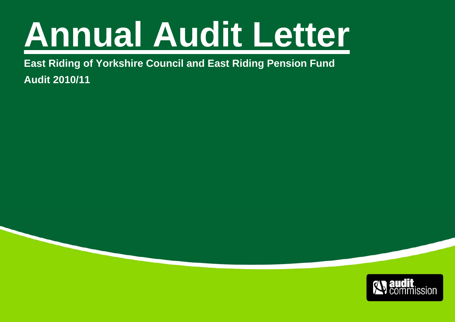# **Annual Audit Letter**

**East Riding of Yorkshire Council and East Riding Pension Fund Audit 2010/11** 

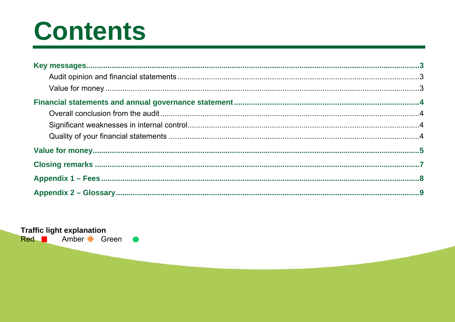# **Contents**

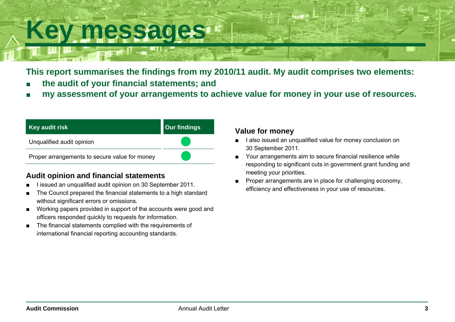## <span id="page-2-0"></span>**Key messages**

**This report summarises the findings from my 2010/11 audit. My audit comprises two elements:** 

- ■**the audit of your financial statements; and**
- ■**my assessment of your arrangements to achieve value for money in your use of resources.**

| Key audit risk                                | <b>Our findings</b> |
|-----------------------------------------------|---------------------|
| Unqualified audit opinion                     |                     |
| Proper arrangements to secure value for money |                     |

### **Audit opinion and financial statements**

- I issued an unqualified audit opinion on 30 September 2011.
- The Council prepared the financial statements to a high standard without significant errors or omissions.
- Working papers provided in support of the accounts were good and officers responded quickly to requests for information.
- The financial statements complied with the requirements of international financial reporting accounting standards.

### **Value for money**

- I also issued an unqualified value for money conclusion on 30 September 2011.
- Your arrangements aim to secure financial resilience while responding to significant cuts in government grant funding and meeting your priorities.
- Proper arrangements are in place for challenging economy, efficiency and effectiveness in your use of resources.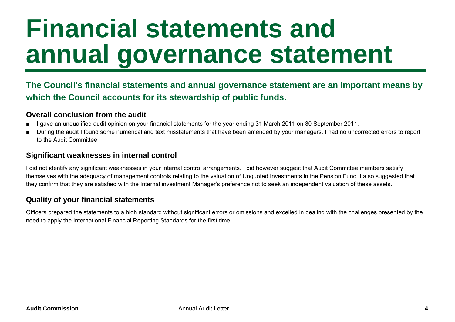# <span id="page-3-0"></span>**Financial statements and annual governance statement**

### **The Council's financial statements and annual governance statement are an important means by which the Council accounts for its stewardship of public funds.**

#### **Overall conclusion from the audit**

- I gave an unqualified audit opinion on your financial statements for the year ending 31 March 2011 on 30 September 2011.
- During the audit I found some numerical and text misstatements that have been amended by your managers. I had no uncorrected errors to report to the Audit Committee.

### **Significant weaknesses in internal control**

I did not identify any significant weaknesses in your internal control arrangements. I did however suggest that Audit Committee members satisfy themselves with the adequacy of management controls relating to the valuation of Unquoted Investments in the Pension Fund. I also suggested that they confirm that they are satisfied with the Internal investment Manager's preference not to seek an independent valuation of these assets.

### **Quality of your financial statements**

Officers prepared the statements to a high standard without significant errors or omissions and excelled in dealing with the challenges presented by the need to apply the International Financial Reporting Standards for the first time.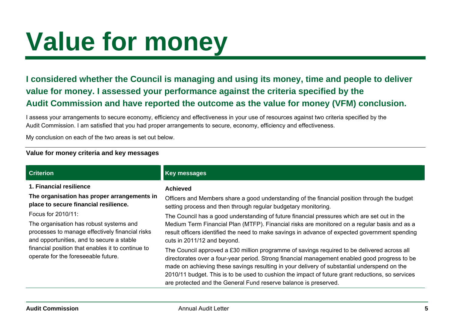# <span id="page-4-0"></span>**Value for money**

**I considered whether the Council is managing and using its money, time and people to deliver value for money. I assessed your performance against the criteria specified by the Audit Commission and have reported the outcome as the value for money (VFM) conclusion.** 

I assess your arrangements to secure economy, efficiency and effectiveness in your use of resources against two criteria specified by the Audit Commission. I am satisfied that you had proper arrangements to secure, economy, efficiency and effectiveness.

My conclusion on each of the two areas is set out below.

#### **Value for money criteria and key messages**

| <b>Criterion</b>                                                                                                                                                                                                                                          | <b>Key messages</b>                                                                                                                                                                                                                                                                                                                                                                                                                                                 |
|-----------------------------------------------------------------------------------------------------------------------------------------------------------------------------------------------------------------------------------------------------------|---------------------------------------------------------------------------------------------------------------------------------------------------------------------------------------------------------------------------------------------------------------------------------------------------------------------------------------------------------------------------------------------------------------------------------------------------------------------|
| 1. Financial resilience<br>The organisation has proper arrangements in<br>place to secure financial resilience.                                                                                                                                           | <b>Achieved</b><br>Officers and Members share a good understanding of the financial position through the budget<br>setting process and then through regular budgetary monitoring.                                                                                                                                                                                                                                                                                   |
| Focus for 2010/11:<br>The organisation has robust systems and<br>processes to manage effectively financial risks<br>and opportunities, and to secure a stable<br>financial position that enables it to continue to<br>operate for the foreseeable future. | The Council has a good understanding of future financial pressures which are set out in the<br>Medium Term Financial Plan (MTFP). Financial risks are monitored on a regular basis and as a<br>result officers identified the need to make savings in advance of expected government spending<br>cuts in 2011/12 and beyond.                                                                                                                                        |
|                                                                                                                                                                                                                                                           | The Council approved a £30 million programme of savings required to be delivered across all<br>directorates over a four-year period. Strong financial management enabled good progress to be<br>made on achieving these savings resulting in your delivery of substantial underspend on the<br>2010/11 budget. This is to be used to cushion the impact of future grant reductions, so services<br>are protected and the General Fund reserve balance is preserved. |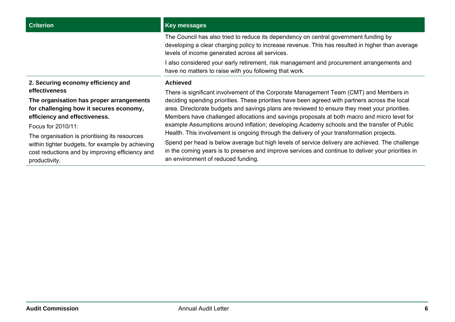I also considered your early retirement, risk management and procurement arrangements and have no matters to raise with you following that work.

**Achieved** 

**2. Securing economy efficiency and effectiveness** 

**The organisation has proper arrangements for challenging how it secures economy, efficiency and effectiveness.**

Focus for 2010/11:

The organisation is prioritising its resources within tighter budgets, for example by achieving cost reductions and by improving efficiency and productivity.

There is significant involvement of the Corporate Management Team (CMT) and Members in deciding spending priorities. These priorities have been agreed with partners across the local area. Directorate budgets and savings plans are reviewed to ensure they meet your priorities. Members have challenged allocations and savings proposals at both macro and micro level for example Assumptions around inflation; developing Academy schools and the transfer of Public Health. This involvement is ongoing through the delivery of your transformation projects.

Spend per head is below average but high levels of service delivery are achieved. The challenge in the coming years is to preserve and improve services and continue to deliver your priorities in an environment of reduced funding.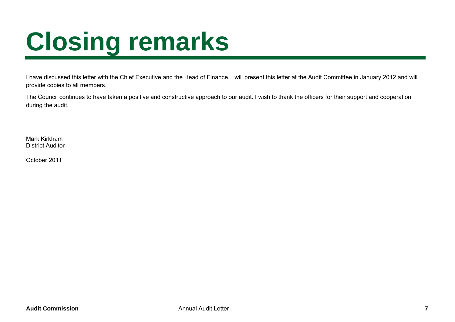# <span id="page-6-0"></span>**Closing remarks**

I have discussed this letter with the Chief Executive and the Head of Finance. I will present this letter at the Audit Committee in January 2012 and will provide copies to all members.

The Council continues to have taken a positive and constructive approach to our audit. I wish to thank the officers for their support and cooperation during the audit.

Mark Kirkham District Auditor

October 2011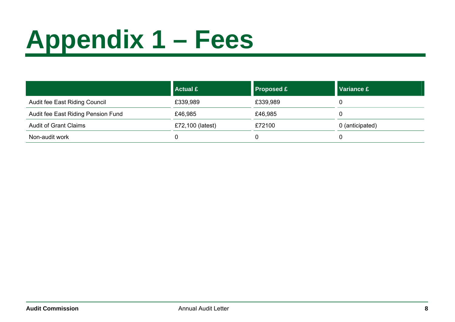# <span id="page-7-0"></span>**Appendix 1 – Fees**

|                                    | <b>Actual £</b>  | <b>Proposed £</b> | <b>Variance £</b> |
|------------------------------------|------------------|-------------------|-------------------|
| Audit fee East Riding Council      | £339,989         | £339,989          |                   |
| Audit fee East Riding Pension Fund | £46,985          | £46,985           |                   |
| <b>Audit of Grant Claims</b>       | £72,100 (latest) | £72100            | 0 (anticipated)   |
| Non-audit work                     |                  |                   |                   |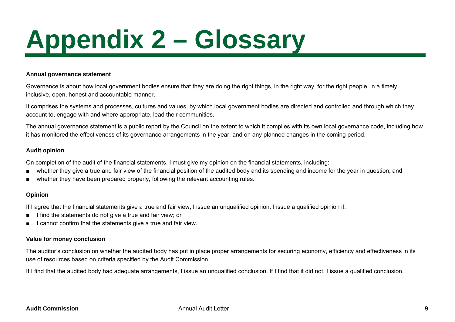# <span id="page-8-0"></span>**Appendix 2 – Glossary**

#### **Annual governance statement**

Governance is about how local government bodies ensure that they are doing the right things, in the right way, for the right people, in a timely, inclusive, open, honest and accountable manner.

It comprises the systems and processes, cultures and values, by which local government bodies are directed and controlled and through which they account to, engage with and where appropriate, lead their communities.

The annual governance statement is a public report by the Council on the extent to which it complies with its own local governance code, including how it has monitored the effectiveness of its governance arrangements in the year, and on any planned changes in the coming period.

#### **Audit opinion**

On completion of the audit of the financial statements, I must give my opinion on the financial statements, including:

- whether they give a true and fair view of the financial position of the audited body and its spending and income for the year in question; and
- whether they have been prepared properly, following the relevant accounting rules.

#### **Opinion**

If I agree that the financial statements give a true and fair view, I issue an unqualified opinion. I issue a qualified opinion if:

- I find the statements do not give a true and fair view; or
- I cannot confirm that the statements give a true and fair view.

#### **Value for money conclusion**

The auditor's conclusion on whether the audited body has put in place proper arrangements for securing economy, efficiency and effectiveness in its use of resources based on criteria specified by the Audit Commission.

If I find that the audited body had adequate arrangements, I issue an unqualified conclusion. If I find that it did not, I issue a qualified conclusion.